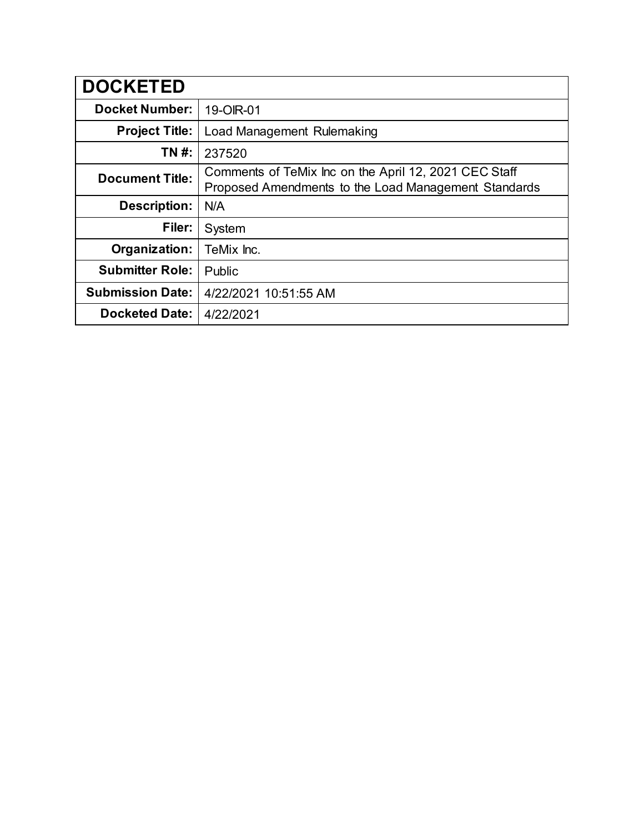| <b>DOCKETED</b>         |                                                                                                               |
|-------------------------|---------------------------------------------------------------------------------------------------------------|
| <b>Docket Number:</b>   | 19-OIR-01                                                                                                     |
| <b>Project Title:</b>   | Load Management Rulemaking                                                                                    |
| TN #:                   | 237520                                                                                                        |
| <b>Document Title:</b>  | Comments of TeMix Inc on the April 12, 2021 CEC Staff<br>Proposed Amendments to the Load Management Standards |
| <b>Description:</b>     | N/A                                                                                                           |
| Filer:                  | System                                                                                                        |
| Organization:           | TeMix Inc.                                                                                                    |
| <b>Submitter Role:</b>  | Public                                                                                                        |
| <b>Submission Date:</b> | 4/22/2021 10:51:55 AM                                                                                         |
| <b>Docketed Date:</b>   | 4/22/2021                                                                                                     |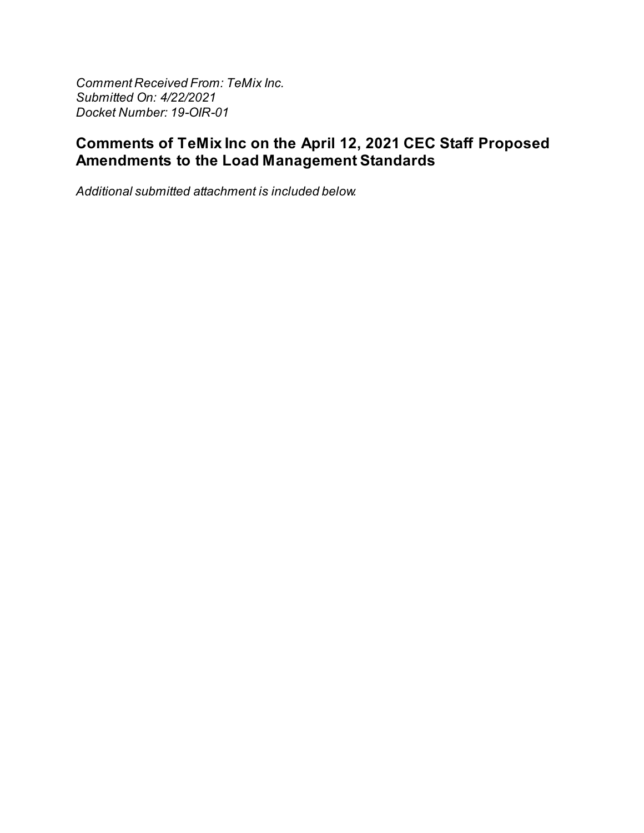**Comment Received From: TeMix Inc.** Submitted On: 4/22/2021 Docket Number: 19-OIR-01

## Comments of TeMix Inc on the April 12, 2021 CEC Staff Proposed Amendments to the Load Management Standards

Additional submitted attachment is included below.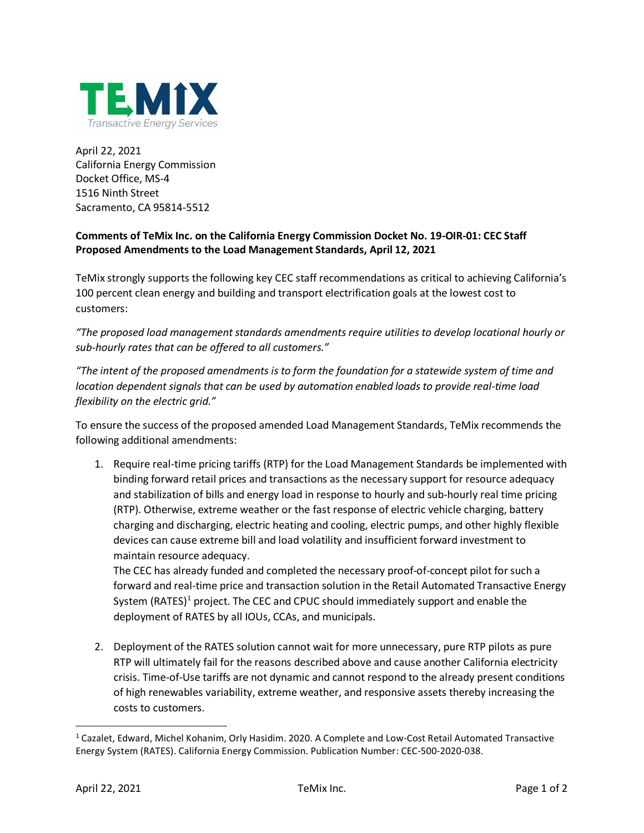

April 22, 2021 California Energy Commission Docket Office, MS-4 1516 Ninth Street Sacramento, CA 95814-5512

## **Comments of TeMix Inc. on the California Energy Commission Docket No. 19-OIR-01: CEC Staff Proposed Amendments to the Load Management Standards, April 12, 2021**

TeMix strongly supports the following key CEC staff recommendations as critical to achieving California's 100 percent clean energy and building and transport electrification goals at the lowest cost to customers:

*"The proposed load management standards amendments require utilities to develop locational hourly or sub-hourly rates that can be offered to all customers."*

*"The intent of the proposed amendments is to form the foundation for a statewide system of time and location dependent signals that can be used by automation enabled loads to provide real-time load flexibility on the electric grid."*

To ensure the success of the proposed amended Load Management Standards, TeMix recommends the following additional amendments:

1. Require real-time pricing tariffs (RTP) for the Load Management Standards be implemented with binding forward retail prices and transactions as the necessary support for resource adequacy and stabilization of bills and energy load in response to hourly and sub-hourly real time pricing (RTP). Otherwise, extreme weather or the fast response of electric vehicle charging, battery charging and discharging, electric heating and cooling, electric pumps, and other highly flexible devices can cause extreme bill and load volatility and insufficient forward investment to maintain resource adequacy.

The CEC has already funded and completed the necessary proof-of-concept pilot for such a forward and real-time price and transaction solution in the Retail Automated Transactive Energy System (RATES)<sup>[1](#page-2-0)</sup> project. The CEC and CPUC should immediately support and enable the deployment of RATES by all IOUs, CCAs, and municipals.

2. Deployment of the RATES solution cannot wait for more unnecessary, pure RTP pilots as pure RTP will ultimately fail for the reasons described above and cause another California electricity crisis. Time-of-Use tariffs are not dynamic and cannot respond to the already present conditions of high renewables variability, extreme weather, and responsive assets thereby increasing the costs to customers.

<span id="page-2-0"></span><sup>1</sup> Cazalet, Edward, Michel Kohanim, Orly Hasidim. 2020. A Complete and Low-Cost Retail Automated Transactive Energy System (RATES). California Energy Commission. Publication Number: CEC-500-2020-038.